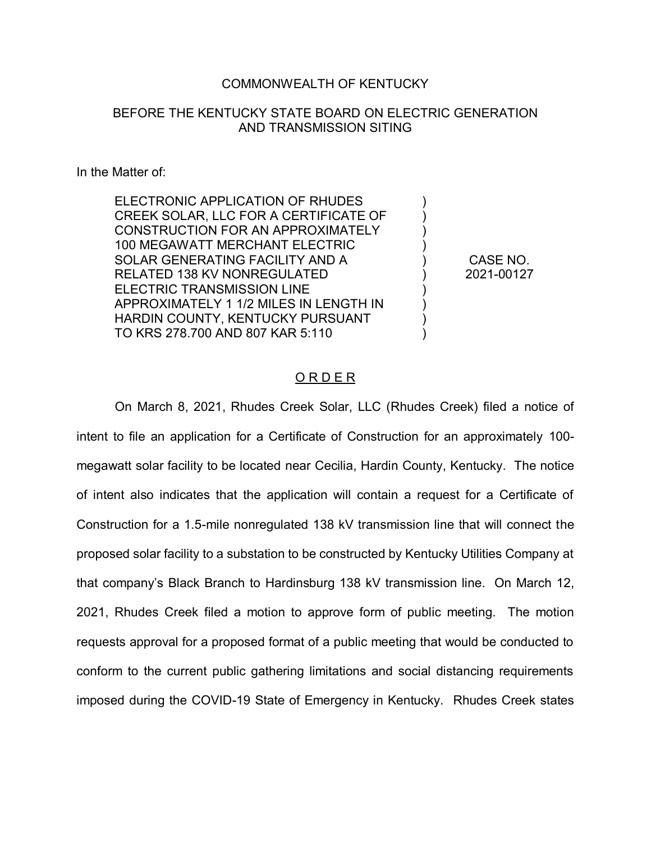## COMMONWEALTH OF KENTUCKY

## BEFORE THE KENTUCKY STATE BOARD ON ELECTRIC GENERATION AND TRANSMISSION SITING

## In the Matter of:

ELECTRONIC APPLICATION OF RHUDES CREEK SOLAR, LLC FOR A CERTIFICATE OF CONSTRUCTION FOR AN APPROXIMATELY 100 MEGAWATT MERCHANT ELECTRIC SOLAR GENERATING FACILITY AND A RELATED 138 KV NONREGULATED ELECTRIC TRANSMISSION LINE APPROXIMATELY 1 1/2 MILES IN LENGTH IN HARDIN COUNTY, KENTUCKY PURSUANT TO KRS 278.700 AND 807 KAR 5:110

CASE NO. 2021-00127

) ) ) ) ) ) ) ) ) )

## O R D E R

On March 8, 2021, Rhudes Creek Solar, LLC (Rhudes Creek) filed a notice of intent to file an application for a Certificate of Construction for an approximately 100 megawatt solar facility to be located near Cecilia, Hardin County, Kentucky. The notice of intent also indicates that the application will contain a request for a Certificate of Construction for a 1.5-mile nonregulated 138 kV transmission line that will connect the proposed solar facility to a substation to be constructed by Kentucky Utilities Company at that company's Black Branch to Hardinsburg 138 kV transmission line. On March 12, 2021, Rhudes Creek filed a motion to approve form of public meeting. The motion requests approval for a proposed format of a public meeting that would be conducted to conform to the current public gathering limitations and social distancing requirements imposed during the COVID-19 State of Emergency in Kentucky. Rhudes Creek states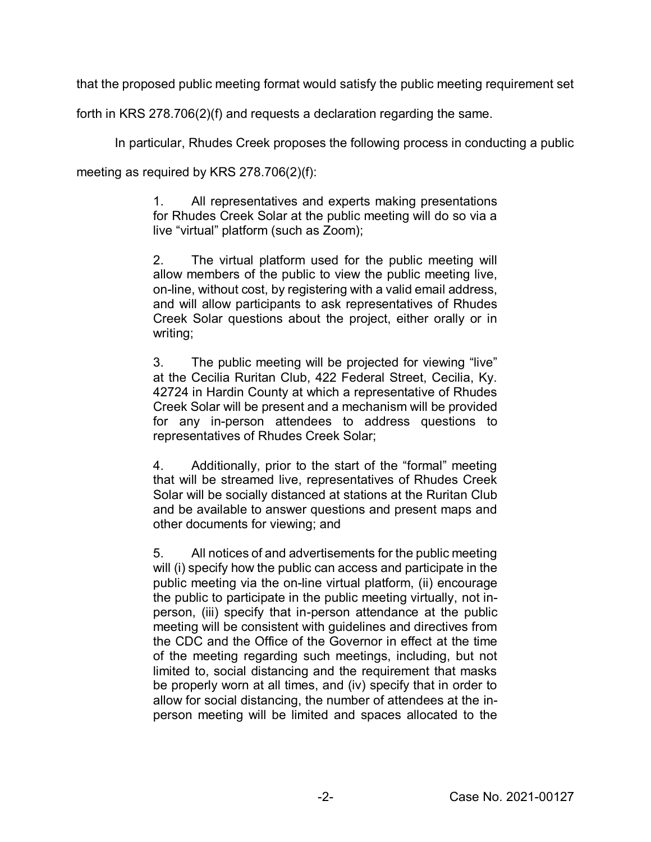that the proposed public meeting format would satisfy the public meeting requirement set

forth in KRS 278.706(2)(f) and requests a declaration regarding the same.

In particular, Rhudes Creek proposes the following process in conducting a public

meeting as required by KRS 278.706(2)(f):

1. All representatives and experts making presentations for Rhudes Creek Solar at the public meeting will do so via a live "virtual" platform (such as Zoom);

2. The virtual platform used for the public meeting will allow members of the public to view the public meeting live, on-line, without cost, by registering with a valid email address, and will allow participants to ask representatives of Rhudes Creek Solar questions about the project, either orally or in writing;

3. The public meeting will be projected for viewing "live" at the Cecilia Ruritan Club, 422 Federal Street, Cecilia, Ky. 42724 in Hardin County at which a representative of Rhudes Creek Solar will be present and a mechanism will be provided for any in-person attendees to address questions to representatives of Rhudes Creek Solar;

4. Additionally, prior to the start of the "formal" meeting that will be streamed live, representatives of Rhudes Creek Solar will be socially distanced at stations at the Ruritan Club and be available to answer questions and present maps and other documents for viewing; and

5. All notices of and advertisements for the public meeting will (i) specify how the public can access and participate in the public meeting via the on-line virtual platform, (ii) encourage the public to participate in the public meeting virtually, not inperson, (iii) specify that in-person attendance at the public meeting will be consistent with guidelines and directives from the CDC and the Office of the Governor in effect at the time of the meeting regarding such meetings, including, but not limited to, social distancing and the requirement that masks be properly worn at all times, and (iv) specify that in order to allow for social distancing, the number of attendees at the inperson meeting will be limited and spaces allocated to the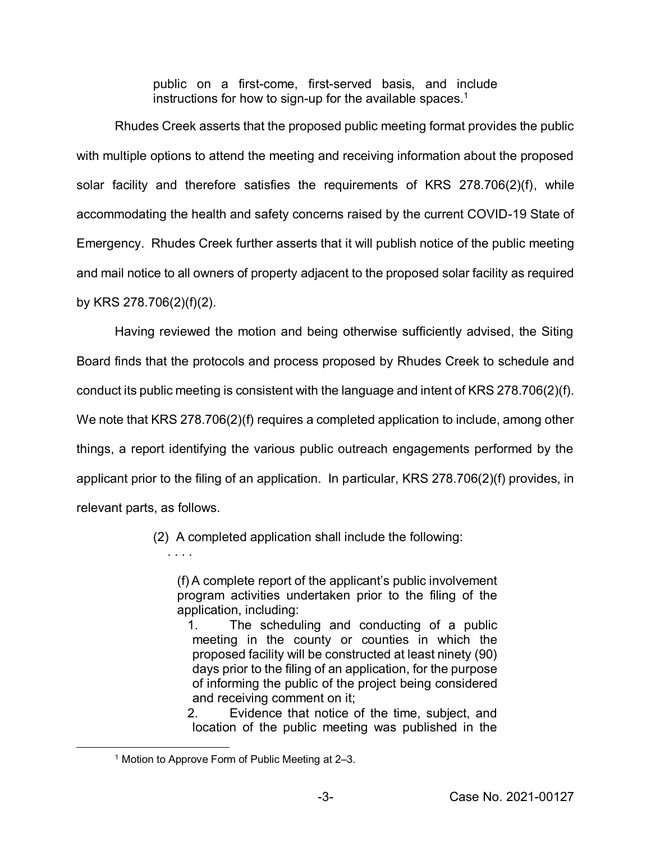public on a first-come, first-served basis, and include instructions for how to sign-up for the available spaces.<sup>1</sup>

Rhudes Creek asserts that the proposed public meeting format provides the public with multiple options to attend the meeting and receiving information about the proposed solar facility and therefore satisfies the requirements of KRS 278.706(2)(f), while accommodating the health and safety concerns raised by the current COVID-19 State of Emergency. Rhudes Creek further asserts that it will publish notice of the public meeting and mail notice to all owners of property adjacent to the proposed solar facility as required by KRS 278.706(2)(f)(2).

Having reviewed the motion and being otherwise sufficiently advised, the Siting Board finds that the protocols and process proposed by Rhudes Creek to schedule and conduct its public meeting is consistent with the language and intent of KRS 278.706(2)(f). We note that KRS 278.706(2)(f) requires a completed application to include, among other things, a report identifying the various public outreach engagements performed by the applicant prior to the filing of an application. In particular, KRS 278.706(2)(f) provides, in relevant parts, as follows.

(2) A completed application shall include the following:

(f) A complete report of the applicant's public involvement program activities undertaken prior to the filing of the application, including:

1. The scheduling and conducting of a public meeting in the county or counties in which the proposed facility will be constructed at least ninety (90) days prior to the filing of an application, for the purpose of informing the public of the project being considered and receiving comment on it;

2. Evidence that notice of the time, subject, and location of the public meeting was published in the

. . . .

 <sup>1</sup> Motion to Approve Form of Public Meeting at 2–3.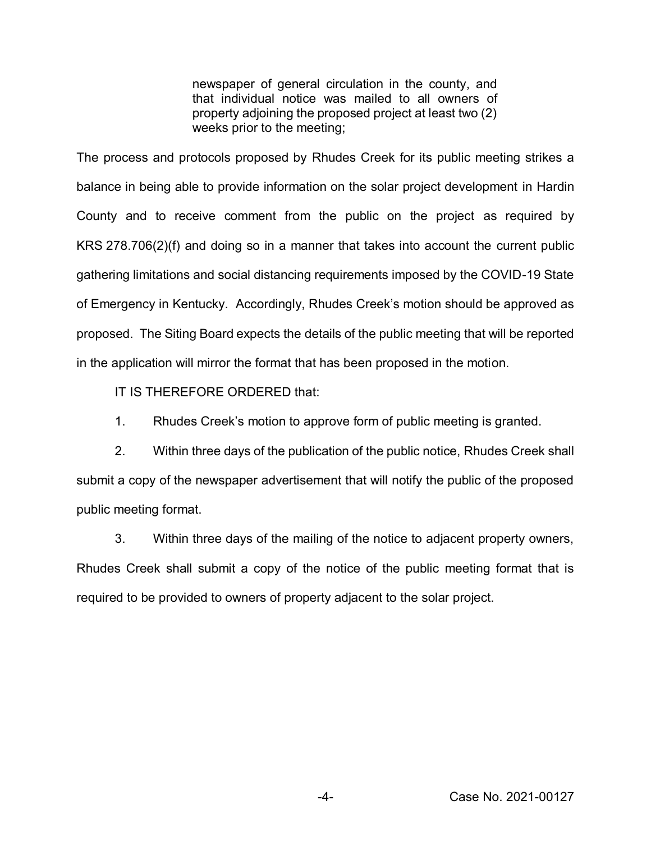newspaper of general circulation in the county, and that individual notice was mailed to all owners of property adjoining the proposed project at least two (2) weeks prior to the meeting;

The process and protocols proposed by Rhudes Creek for its public meeting strikes a balance in being able to provide information on the solar project development in Hardin County and to receive comment from the public on the project as required by KRS 278.706(2)(f) and doing so in a manner that takes into account the current public gathering limitations and social distancing requirements imposed by the COVID-19 State of Emergency in Kentucky. Accordingly, Rhudes Creek's motion should be approved as proposed. The Siting Board expects the details of the public meeting that will be reported in the application will mirror the format that has been proposed in the motion.

IT IS THEREFORE ORDERED that:

1. Rhudes Creek's motion to approve form of public meeting is granted.

2. Within three days of the publication of the public notice, Rhudes Creek shall submit a copy of the newspaper advertisement that will notify the public of the proposed public meeting format.

3. Within three days of the mailing of the notice to adjacent property owners, Rhudes Creek shall submit a copy of the notice of the public meeting format that is required to be provided to owners of property adjacent to the solar project.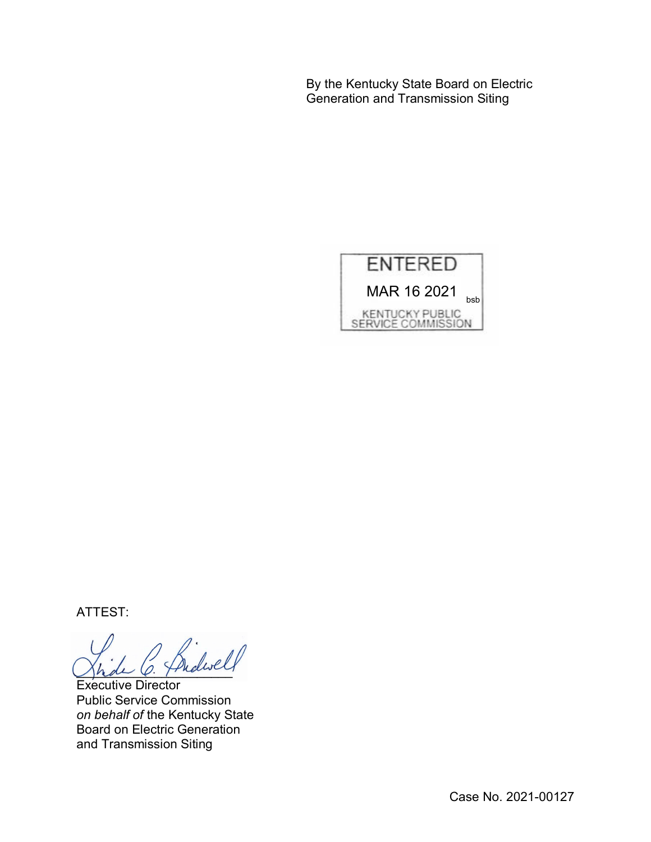By the Kentucky State Board on Electric Generation and Transmission Siting

![](_page_4_Picture_1.jpeg)

ATTEST:

\_\_\_\_\_\_\_\_\_\_\_\_\_\_\_\_\_\_\_\_\_\_

Executive Director Public Service Commission *on behalf of* the Kentucky State Board on Electric Generation and Transmission Siting